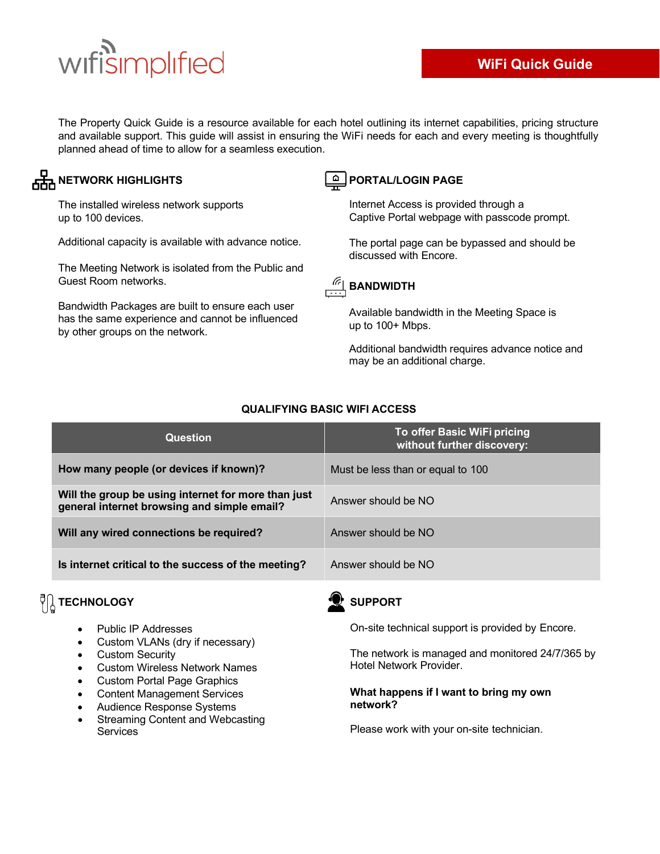# wifisimplified

The Property Quick Guide is a resource available for each hotel outlining its internet capabilities, pricing structure and available support. This guide will assist in ensuring the WiFi needs for each and every meeting is thoughtfully planned ahead of time to allow for a seamless execution.

### **NETWORK HIGHLIGHTS EXAMPLE A PORTAL/LOGIN PAGE**

The installed wireless network supports up to 100 devices.

Additional capacity is available with advance notice.

The Meeting Network is isolated from the Public and Guest Room networks.

Bandwidth Packages are built to ensure each user has the same experience and cannot be influenced by other groups on the network.

Internet Access is provided through a Captive Portal webpage with passcode prompt.

The portal page can be bypassed and should be discussed with Encore.



#### Available bandwidth in the Meeting Space is up to 100+ Mbps.

Additional bandwidth requires advance notice and may be an additional charge.

| <b>Question</b>                                                                                    | To offer Basic WiFi pricing<br>without further discovery: |
|----------------------------------------------------------------------------------------------------|-----------------------------------------------------------|
| How many people (or devices if known)?                                                             | Must be less than or equal to 100                         |
| Will the group be using internet for more than just<br>general internet browsing and simple email? | Answer should be NO                                       |
| Will any wired connections be required?                                                            | Answer should be NO                                       |
| Is internet critical to the success of the meeting?                                                | Answer should be NO                                       |

#### **QUALIFYING BASIC WIFI ACCESS**

## **TECHNOLOGY**

- Public IP Addresses
- Custom VLANs (dry if necessary)
- Custom Security
- Custom Wireless Network Names
- Custom Portal Page Graphics
- Content Management Services
- Audience Response Systems
- Streaming Content and Webcasting Services



#### **SUPPORT**

On-site technical support is provided by Encore.

The network is managed and monitored 24/7/365 by Hotel Network Provider.

#### **What happens if I want to bring my own network?**

Please work with your on-site technician.